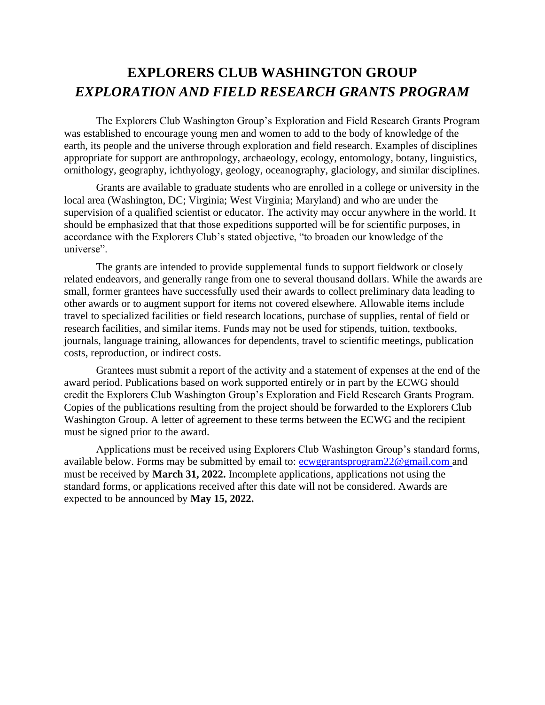The Explorers Club Washington Group's Exploration and Field Research Grants Program was established to encourage young men and women to add to the body of knowledge of the earth, its people and the universe through exploration and field research. Examples of disciplines appropriate for support are anthropology, archaeology, ecology, entomology, botany, linguistics, ornithology, geography, ichthyology, geology, oceanography, glaciology, and similar disciplines.

Grants are available to graduate students who are enrolled in a college or university in the local area (Washington, DC; Virginia; West Virginia; Maryland) and who are under the supervision of a qualified scientist or educator. The activity may occur anywhere in the world. It should be emphasized that that those expeditions supported will be for scientific purposes, in accordance with the Explorers Club's stated objective, "to broaden our knowledge of the universe".

The grants are intended to provide supplemental funds to support fieldwork or closely related endeavors, and generally range from one to several thousand dollars. While the awards are small, former grantees have successfully used their awards to collect preliminary data leading to other awards or to augment support for items not covered elsewhere. Allowable items include travel to specialized facilities or field research locations, purchase of supplies, rental of field or research facilities, and similar items. Funds may not be used for stipends, tuition, textbooks, journals, language training, allowances for dependents, travel to scientific meetings, publication costs, reproduction, or indirect costs.

Grantees must submit a report of the activity and a statement of expenses at the end of the award period. Publications based on work supported entirely or in part by the ECWG should credit the Explorers Club Washington Group's Exploration and Field Research Grants Program. Copies of the publications resulting from the project should be forwarded to the Explorers Club Washington Group. A letter of agreement to these terms between the ECWG and the recipient must be signed prior to the award.

Applications must be received using Explorers Club Washington Group's standard forms, available below. Forms may be submitted by email to: exuggrantsprogram22@gmail.com and must be received by **March 31, 2022.** Incomplete applications, applications not using the standard forms, or applications received after this date will not be considered. Awards are expected to be announced by **May 15, 2022.**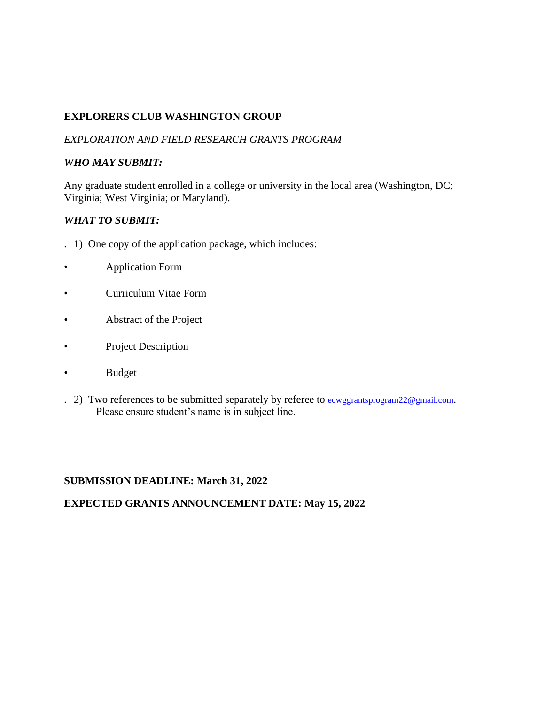# **EXPLORERS CLUB WASHINGTON GROUP**

### *EXPLORATION AND FIELD RESEARCH GRANTS PROGRAM*

#### *WHO MAY SUBMIT:*

Any graduate student enrolled in a college or university in the local area (Washington, DC; Virginia; West Virginia; or Maryland).

### *WHAT TO SUBMIT:*

- . 1) One copy of the application package, which includes:
- Application Form
- Curriculum Vitae Form
- Abstract of the Project
- Project Description
- Budget
- . 2) Two references to be submitted separately by referee to **ecwggrantsprogram22@gmail.com**. Please ensure student's name is in subject line.

### **SUBMISSION DEADLINE: March 31, 2022**

#### **EXPECTED GRANTS ANNOUNCEMENT DATE: May 15, 2022**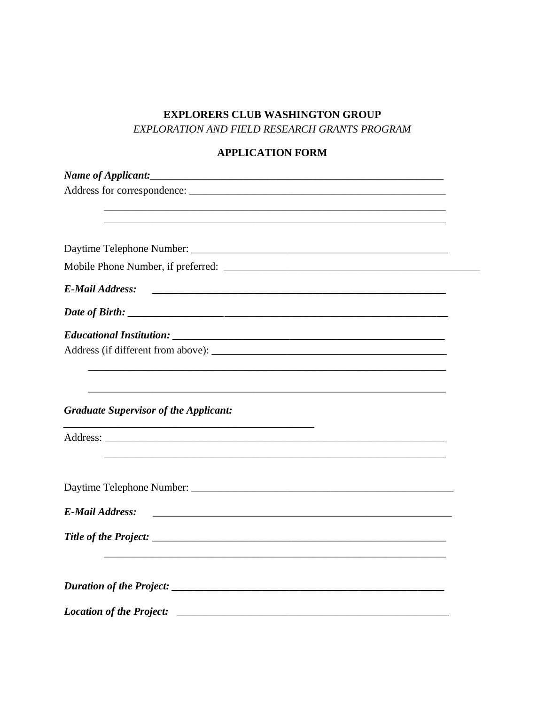# **APPLICATION FORM**

| <b>E-Mail Address:</b><br><u> 2000 - Jan James James Barnett, fransk politik (d. 1882)</u>         |  |
|----------------------------------------------------------------------------------------------------|--|
|                                                                                                    |  |
|                                                                                                    |  |
| Address (if different from above):                                                                 |  |
| <u> 1990 - Jan Barbara (j. 1980).</u><br>1901 - Johann John Barbara, frantziar idazlear (h. 1902). |  |
|                                                                                                    |  |
|                                                                                                    |  |
| <b>Graduate Supervisor of the Applicant:</b>                                                       |  |
|                                                                                                    |  |
|                                                                                                    |  |
|                                                                                                    |  |
|                                                                                                    |  |
|                                                                                                    |  |
| <b>E-Mail Address:</b>                                                                             |  |
|                                                                                                    |  |
|                                                                                                    |  |
|                                                                                                    |  |
|                                                                                                    |  |
|                                                                                                    |  |
| <b>Location of the Project:</b>                                                                    |  |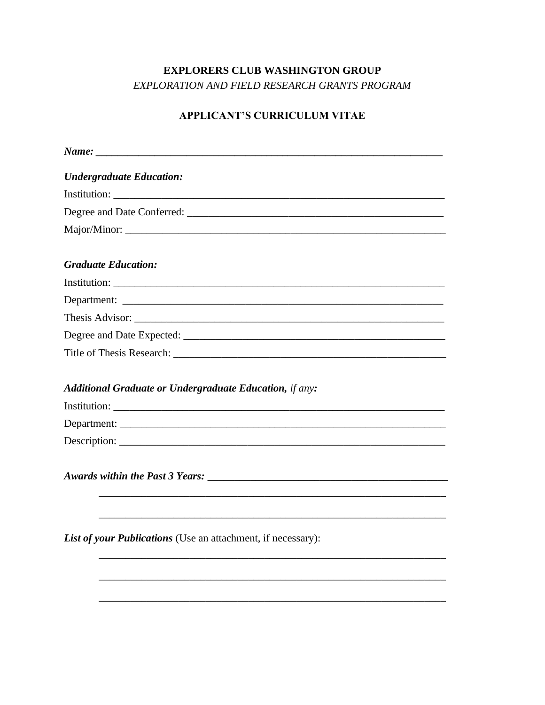# **APPLICANT'S CURRICULUM VITAE**

| <b>Undergraduate Education:</b>                                |
|----------------------------------------------------------------|
|                                                                |
|                                                                |
|                                                                |
| <b>Graduate Education:</b>                                     |
|                                                                |
|                                                                |
|                                                                |
|                                                                |
|                                                                |
| <b>Additional Graduate or Undergraduate Education, if any:</b> |
|                                                                |
|                                                                |
|                                                                |
|                                                                |
| List of your Publications (Use an attachment, if necessary):   |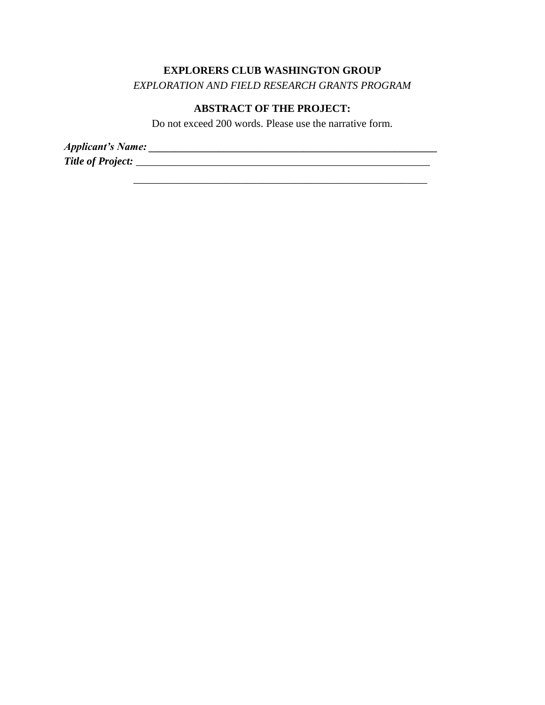### **EXPLORERS CLUB WASHINGTON GROUP**

*EXPLORATION AND FIELD RESEARCH GRANTS PROGRAM*

### **ABSTRACT OF THE PROJECT:**

Do not exceed 200 words. Please use the narrative form.

\_\_\_\_\_\_\_\_\_\_\_\_\_\_\_\_\_\_\_\_\_\_\_\_\_\_\_\_\_\_\_\_\_\_\_\_\_\_\_\_\_\_\_\_\_\_\_\_\_\_\_\_\_\_\_

*Applicant's Name: \_\_\_\_\_\_\_\_\_\_\_\_\_\_\_\_\_\_\_\_\_\_\_\_\_\_\_\_\_\_\_\_\_\_\_\_\_\_\_\_\_\_\_\_\_\_\_\_\_\_\_\_\_\_ Title of Project:* \_\_\_\_\_\_\_\_\_\_\_\_\_\_\_\_\_\_\_\_\_\_\_\_\_\_\_\_\_\_\_\_\_\_\_\_\_\_\_\_\_\_\_\_\_\_\_\_\_\_\_\_\_\_\_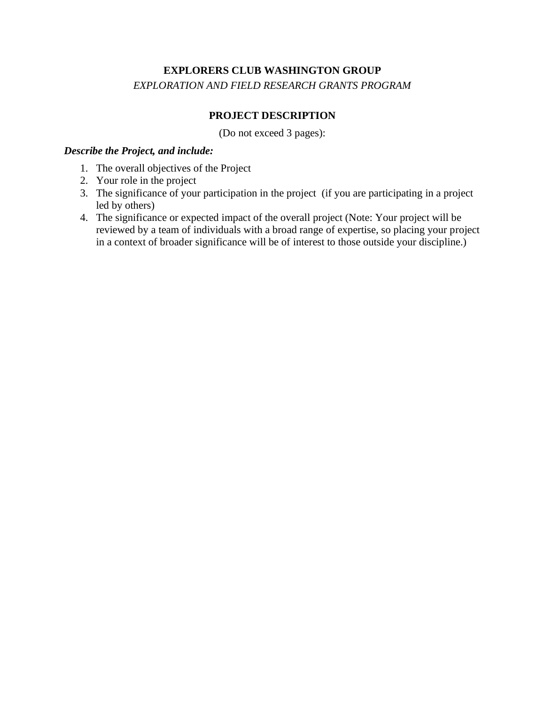# **PROJECT DESCRIPTION**

(Do not exceed 3 pages):

#### *Describe the Project, and include:*

- 1. The overall objectives of the Project
- 2. Your role in the project
- 3. The significance of your participation in the project (if you are participating in a project led by others)
- 4. The significance or expected impact of the overall project (Note: Your project will be reviewed by a team of individuals with a broad range of expertise, so placing your project in a context of broader significance will be of interest to those outside your discipline.)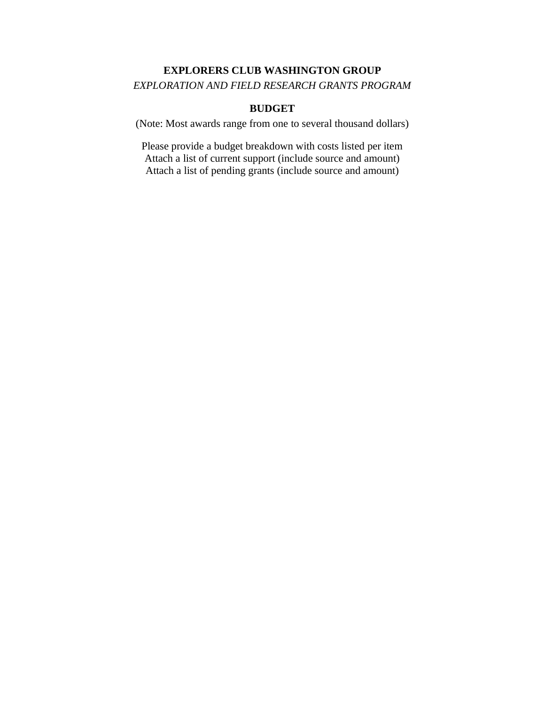#### **BUDGET**

(Note: Most awards range from one to several thousand dollars)

Please provide a budget breakdown with costs listed per item Attach a list of current support (include source and amount) Attach a list of pending grants (include source and amount)